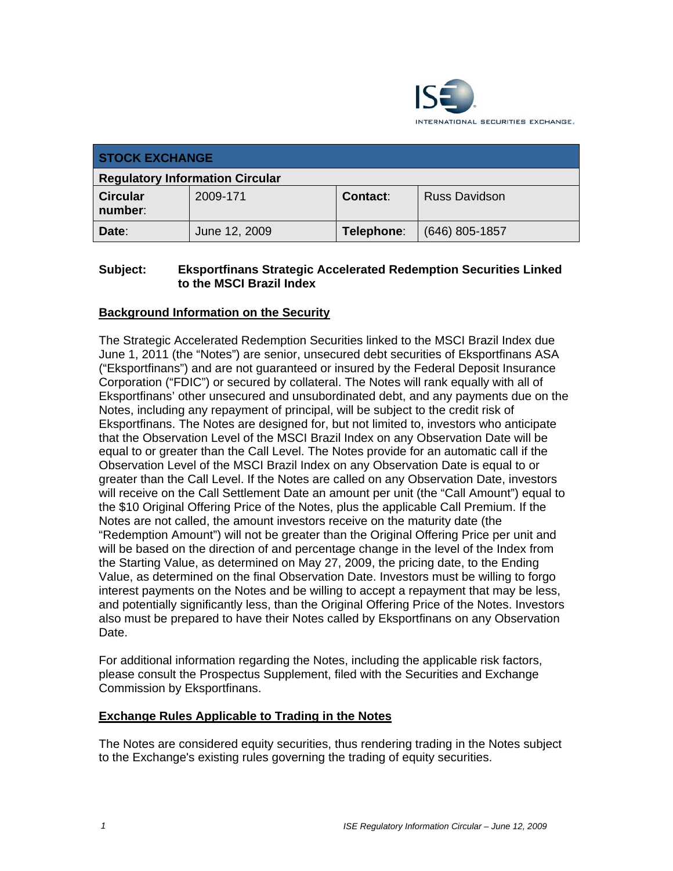

| <b>STOCK EXCHANGE</b>                  |               |            |                      |
|----------------------------------------|---------------|------------|----------------------|
| <b>Regulatory Information Circular</b> |               |            |                      |
| <b>Circular</b><br>number:             | 2009-171      | Contact:   | <b>Russ Davidson</b> |
| Date:                                  | June 12, 2009 | Telephone: | $(646)$ 805-1857     |

#### **Subject: Eksportfinans Strategic Accelerated Redemption Securities Linked to the MSCI Brazil Index**

## **Background Information on the Security**

The Strategic Accelerated Redemption Securities linked to the MSCI Brazil Index due June 1, 2011 (the "Notes") are senior, unsecured debt securities of Eksportfinans ASA ("Eksportfinans") and are not guaranteed or insured by the Federal Deposit Insurance Corporation ("FDIC") or secured by collateral. The Notes will rank equally with all of Eksportfinans' other unsecured and unsubordinated debt, and any payments due on the Notes, including any repayment of principal, will be subject to the credit risk of Eksportfinans. The Notes are designed for, but not limited to, investors who anticipate that the Observation Level of the MSCI Brazil Index on any Observation Date will be equal to or greater than the Call Level. The Notes provide for an automatic call if the Observation Level of the MSCI Brazil Index on any Observation Date is equal to or greater than the Call Level. If the Notes are called on any Observation Date, investors will receive on the Call Settlement Date an amount per unit (the "Call Amount") equal to the \$10 Original Offering Price of the Notes, plus the applicable Call Premium. If the Notes are not called, the amount investors receive on the maturity date (the "Redemption Amount") will not be greater than the Original Offering Price per unit and will be based on the direction of and percentage change in the level of the Index from the Starting Value, as determined on May 27, 2009, the pricing date, to the Ending Value, as determined on the final Observation Date. Investors must be willing to forgo interest payments on the Notes and be willing to accept a repayment that may be less, and potentially significantly less, than the Original Offering Price of the Notes. Investors also must be prepared to have their Notes called by Eksportfinans on any Observation Date.

For additional information regarding the Notes, including the applicable risk factors, please consult the Prospectus Supplement, filed with the Securities and Exchange Commission by Eksportfinans.

#### **Exchange Rules Applicable to Trading in the Notes**

The Notes are considered equity securities, thus rendering trading in the Notes subject to the Exchange's existing rules governing the trading of equity securities.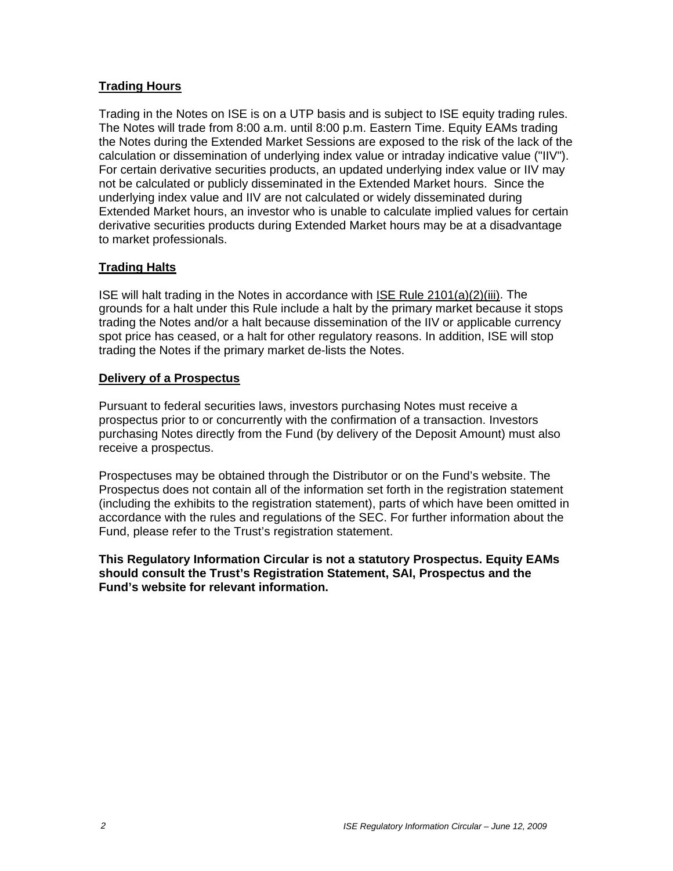## **Trading Hours**

Trading in the Notes on ISE is on a UTP basis and is subject to ISE equity trading rules. The Notes will trade from 8:00 a.m. until 8:00 p.m. Eastern Time. Equity EAMs trading the Notes during the Extended Market Sessions are exposed to the risk of the lack of the calculation or dissemination of underlying index value or intraday indicative value ("IIV"). For certain derivative securities products, an updated underlying index value or IIV may not be calculated or publicly disseminated in the Extended Market hours. Since the underlying index value and IIV are not calculated or widely disseminated during Extended Market hours, an investor who is unable to calculate implied values for certain derivative securities products during Extended Market hours may be at a disadvantage to market professionals.

## **Trading Halts**

ISE will halt trading in the Notes in accordance with ISE Rule 2101(a)(2)(iii). The grounds for a halt under this Rule include a halt by the primary market because it stops trading the Notes and/or a halt because dissemination of the IIV or applicable currency spot price has ceased, or a halt for other regulatory reasons. In addition, ISE will stop trading the Notes if the primary market de-lists the Notes.

#### **Delivery of a Prospectus**

Pursuant to federal securities laws, investors purchasing Notes must receive a prospectus prior to or concurrently with the confirmation of a transaction. Investors purchasing Notes directly from the Fund (by delivery of the Deposit Amount) must also receive a prospectus.

Prospectuses may be obtained through the Distributor or on the Fund's website. The Prospectus does not contain all of the information set forth in the registration statement (including the exhibits to the registration statement), parts of which have been omitted in accordance with the rules and regulations of the SEC. For further information about the Fund, please refer to the Trust's registration statement.

**This Regulatory Information Circular is not a statutory Prospectus. Equity EAMs should consult the Trust's Registration Statement, SAI, Prospectus and the Fund's website for relevant information.**